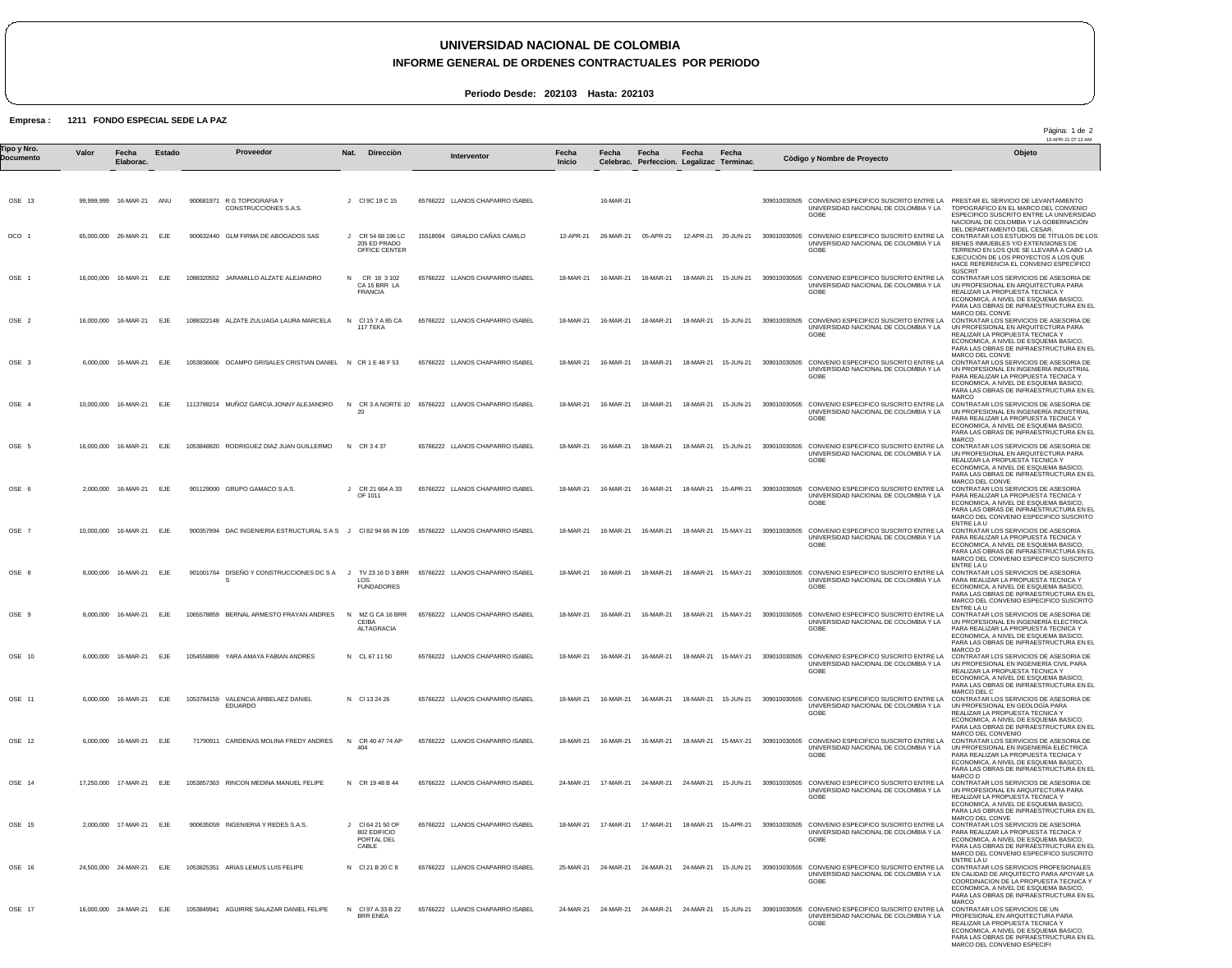## **UNIVERSIDAD NACIONAL DE COLOMBIA**

## **INFORME GENERAL DE ORDENES CONTRACTUALES POR PERIODO**

Pàgina: 1 de 2

**Periodo Desde: 202103 Hasta: 202103**

## **Empresa : 1211 FONDO ESPECIAL SEDE LA PAZ**

13-APR-21 07:12 AM OSE 13 OCO 1 OSE 1 OSE 2 OSE 3 OSE 4 OSE 5 OSE 6 OSE 7 OSE 8 OSE 9 OSE 10 OSE 11 OSE 12 OSE 14 OSE 15 OSE 16 OSE 17 99,999,999 16-MAR-21 ANU 65,000,000 16,000,000 16,000,000 16-MAR-21 6,000,000 10,000,000 16-MAR-21 EJE 16,000,000 16-MAR-21 EJE 2,000,000 10,000,000 16-MAR-21 EJE 8,000,000 16-MAR-21 EJE 8,000,000 16-MAR-21 6,000,000 16-MAR-21 6,000,000 16-MAR-21 EJE 6,000,000 16-MAR-21 EJE 17,250,000 17-MAR-21 EJE 2,000,000 24,500,000 24-MAR-21 EJE 16,000,000 24-MAR-21 EJE **Valor** 26-MAR-21 16-MAR-21 16-MAR-21 16-MAR-21 17-MAR-21 **Fecha Elaborac.** EJE EJE EJE EJE EJE EJE EJE EJE **Estado** 900681971 R G TOPOGRAFIA Y 900632440 GLM FIRMA DE ABOGADOS SAS 1088320552 JARAMILLO ALZATE ALEJANDRO 1088322148 ALZATE ZULUAGA LAURA MARCELA 1053836606 OCAMPO GRISALES CRISTIAN DANIEL N CR 1 E 48 F 53 1113788214 MUÑOZ GARCIA JONNY ALEJANDRO 1053848820 RODRIGUEZ DIAZ JUAN GUILLERMO 901129000 GRUPO GAMACO S.A.S. 900357894 DAC INGENIERIA ESTRUCTURAL S A S J Cl 82 94 66 IN 109 65766222 LLANOS CHAPARRO ISABEL 901001764 DISEÑO Y CONSTRUCCIONES DC S A J TV 23 16 D 3 BRR 65766222 LLANOS CHAPARRO ISABEL 1065578859 BERNAL ARMESTO FRAYAN ANDRES 1054558899 YARA AMAYA FABIAN ANDRES 1053784159 VALENCIA ARBELAEZ DANIEL 71790911 CARDENAS MOLINA FREDY ANDRES 1053857363 RINCON MEDINA MANUEL FELIPE 900635059 INGENIERIA Y REDES S.A.S. 1053825351 ARIAS LEMUS LUIS FELIPE 1053849941 AGUIRRE SALAZAR DANIEL FELIPE CONSTRUCCIONES S.A.S. S EDUARDO J Cl 9C 19 C 15 J CR 54 68 196 LC N N Cl 15 7 A 85 CA N CR 3 A NORTE 10 65766222 LLANOS CHAPARRO ISABEL N CR 3 4 37 J CR 21 664 A 33 OF 1011 N MZ G CA 16 BRR N CL 67 11 50 N Cl 13 24 26 N CR 40 47 74 AP N CR 19 48 B 44 J Cl 64 21 50 OF N Cl 21 B 20 C 8 N Cl 97 A 33 B 22 **Nat.** 205 ED PRADO OFFICE CENTER CR 18 3 102 CA 15 BRR LA FRANCIA 117 TEKA 20 LOS FUNDADORES CEIBA ALTAGRACIA 404 802 EDIFICIO PORTAL DEL CABLE BRR ENEA **Direcciòn** 65766222 LLANOS CHAPARRO ISABEL 15518094 GIRALDO CAÑAS CAMILO 65766222 LLANOS CHAPARRO ISABEL 65766222 LLANOS CHAPARRO ISABEL 65766222 LLANOS CHAPARRO ISABEL 65766222 LLANOS CHAPARRO ISABEL 65766222 LLANOS CHAPARRO ISABEL 65766222 LLANOS CHAPARRO ISABEL 65766222 LLANOS CHAPARRO ISABEL 65766222 LLANOS CHAPARRO ISABEL 65766222 LLANOS CHAPARRO ISABEL 65766222 LLANOS CHAPARRO ISABEL 65766222 LLANOS CHAPARRO ISABEL 65766222 LLANOS CHAPARRO ISABEL 65766222 LLANOS CHAPARRO ISABEL 12-APR-21 18-MAR-21 18-MAR-21 18-MAR-21 18-MAR-21 18-MAR-21 18-MAR-21 18-MAR-21 18-MAR-21 16-MAR-21 18-MAR-21 18-MAR-21 18-MAR-21 18-MAR-21 24-MAR-21 18-MAR-21 25-MAR-21 24-MAR-21 24-MAR-21 24-MAR-21 24-MAR-21 15-JUN-21 **Fecha Inicio** 16-MAR-21 26-MAR-21 05-APR-21 12-APR-21 20-JUN-21 16-MAR-21 16-MAR-21 16-MAR-21 16-MAR-21 16-MAR-21 16-MAR-21 16-MAR-21 16-MAR-21 16-MAR-21 16-MAR-21 16-MAR-21 17-MAR-21 24-MAR-21 24-MAR-21 15-JUN-21 17-MAR-21 24-MAR-21 24-MAR-21 **Fecha Celebrac.** 18-MAR-21 18-MAR-21 18-MAR-21 18-MAR-21 18-MAR-21 16-MAR-21 16-MAR-21 18-MAR-21 18-MAR-21 15-MAY-21 309010030505 CONVENIO ESPECIFICO SUSCRITO ENTRE LA 16-MAR-21 16-MAR-21 16-MAR-21 16-MAR-21 17-MAR-21 **Fecha Perfeccion. Legalizac Terminac.** 18-MAR-21 15-JUN-21 18-MAR-21 15-JUN-21 18-MAR-21 15-JUN-21 18-MAR-21 15-JUN-21 18-MAR-21 15-JUN-21 18-MAR-21 15-APR-21 18-MAR-21 15-MAY-21 18-MAR-21 15-MAY-21 18-MAR-21 15-MAY-21 18-MAR-21 15-JUN-21 18-MAR-21 15-MAY-21 18-MAR-21 24-MAR-21 15-JUN-21 **Fecha** 15-APR-21 **Fecha** 309010030505 CONVENIO ESPECIFICO SUSCRITO ENTRE LA PRESTAR EL SERVICIO DE LEVANTAMIENTO 309010030505 CONVENIO ESPECIFICO SUSCRITO ENTRE LA 309010030505 CONVENIO ESPECIFICO SUSCRITO ENTRE LA 309010030505 CONVENIO ESPECIFICO SUSCRITO ENTRE LA 309010030505 CONVENIO ESPECIFICO SUSCRITO ENTRE LA 309010030505 CONVENIO ESPECIFICO SUSCRITO ENTRE LA 309010030505 CONVENIO ESPECIFICO SUSCRITO ENTRE LA 309010030505 CONVENIO ESPECIFICO SUSCRITO ENTRE LA 309010030505 CONVENIO ESPECIFICO SUSCRITO ENTRE LA 309010030505 CONVENIO ESPECIFICO SUSCRITO ENTRE LA UNIVERSIDAD NACIONAL DE COLOMBIA Y LA 309010030505 CONVENIO ESPECIFICO SUSCRITO ENTRE LA 309010030505 CONVENIO ESPECIFICO SUSCRITO ENTRE LA 309010030505 CONVENIO ESPECIFICO SUSCRITO ENTRE LA 309010030505 CONVENIO ESPECIFICO SUSCRITO ENTRE LA 309010030505 CONVENIO ESPECIFICO SUSCRITO ENTRE LA 309010030505 CONVENIO ESPECIFICO SUSCRITO ENTRE LA UNIVERSIDAD NACIONAL DE COLOMBIA Y LA GOBE 309010030505 CONVENIO ESPECIFICO SUSCRITO ENTRE LA UNIVERSIDAD NACIONAL DE COLOMBIA Y LA GOBE UNIVERSIDAD NACIONAL DE COLOMBIA Y LA GOBE UNIVERSIDAD NACIONAL DE COLOMBIA Y LA GOBE UNIVERSIDAD NACIONAL DE COLOMBIA Y LA GOBE UNIVERSIDAD NACIONAL DE COLOMBIA Y LA GOBE UNIVERSIDAD NACIONAL DE COLOMBIA Y LA GOBE UNIVERSIDAD NACIONAL DE COLOMBIA Y LA GOBE CONVENIO ESPECIFICO SUSCRITO ENTRE LA UNIVERSIDAD NACIONAL DE COLOMBIA Y LA GOBE UNIVERSIDAD NACIONAL DE COLOMBIA Y LA GOBE UNIVERSIDAD NACIONAL DE COLOMBIA Y LA GOBE UNIVERSIDAD NACIONAL DE COLOMBIA Y LA **GOBE** GOBE UNIVERSIDAD NACIONAL DE COLOMBIA Y LA GOBE UNIVERSIDAD NACIONAL DE COLOMBIA Y LA GOBE UNIVERSIDAD NACIONAL DE COLOMBIA Y LA GOBE UNIVERSIDAD NACIONAL DE COLOMBIA Y LA GOBE CONVENIO ESPECIFICO SUSCRITO ENTRE LA UNIVERSIDAD NACIONAL DE COLOMBIA Y LA GOBE TOPOGRÁFICO EN EL MARCO DEL CONVENIO ESPECIFICO SUSCRITO ENTRE LA UNIVERSIDAD NACIONAL DE COLOMBIA Y LA GOBERNACIÓN DEL DEPARTAMENTO DEL CESAR. CONTRATAR LOS ESTUDIOS DE TÍTULOS DE LOS BIENES INMUEBLES Y/O EXTENSIONES DE TERRENO EN LOS QUE SE LLEVARÁ A CABO LA EJECUCIÓN DE LOS PROYECTOS A LOS QUE HACE REFERENCIA EL CONVENIO ESPECIFICO SUSCRIT CONTRATAR LOS SERVICIOS DE ASESORIA DE UN PROFESIONAL EN ARQUITECTURA PARA REALIZAR LA PROPUESTA TECNICA Y ECONOMICA, A NIVEL DE ESQUEMA BASICO, PARA LAS OBRAS DE INFRAESTRUCTURA EN EL MARCO DEL CONVE CONTRATAR LOS SERVICIOS DE ASESORIA DE UN PROFESIONAL EN ARQUITECTURA PARA REALIZAR LA PROPUESTA TECNICA Y ECONOMICA, A NIVEL DE ESQUEMA BASICO,<br>PARA LAS OBRAS DE INFRAESTRUCTURA EN EL<br>MARCO DEL CONVE<br>CONTRATAR LOS SERVICIOS DE ASESORIA DE UN PROFESIONAL EN INGENIERÍA INDUSTRIAL PARA REALIZAR LA PROPUESTA TECNICA Y ECONOMICA, A NIVEL DE ESQUEMA BASICO, PARA LAS OBRAS DE INFRAESTRUCTURA EN EL MARCO CONTRATAR LOS SERVICIOS DE ASESORIA DE UN PROFESIONAL EN INGENIERÍA INDUSTRIAL PARA REALIZAR LA PROPUESTA TECNICA Y ECONOMICA, A NIVEL DE ESQUEMA BASICO, PARA LAS OBRAS DE INFRAESTRUCTURA EN EL MARCO CONTRATAR LOS SERVICIOS DE ASESORIA DE UN PROFESIONAL EN ARQUITECTURA PARA REALIZAR LA PROPUESTA TECNICA Y ECONOMICA, A NIVEL DE ESQUEMA BASICO, PARA LAS OBRAS DE INFRAESTRUCTURA EN EL MARCO DEL CONVE CONTRATAR LOS SERVICIOS DE ASESORIA PARA REALIZAR LA PROPUESTA TECNICA Y ECONOMICA, A NIVEL DE ESQUEMA BASICO, PARA LAS OBRAS DE INFRAESTRUCTURA EN EL MARCO DEL CONVENIO ESPECIFICO SUSCRITO ENTRE LA U CONTRATAR LOS SERVICIOS DE ASESORIA PARA REALIZAR LA PROPUESTA TECNICA Y<br>ECONOMICA, A NIVEL DE ESQUEMA BASICO,<br>PARA LAS OBRAS DE INFRAESTRUCTURA EN EL<br>MARCO DEL CONVENIO ESPECIFICO SUSCRITO ENTRE LA U CONTRATAR LOS SERVICIOS DE ASESORIA PARA REALIZAR LA PROPUESTA TECNICA Y ECONOMICA, A NIVEL DE ESQUEMA BASICO, PARA LAS OBRAS DE INFRAESTRUCTURA EN EL MARCO DEL CONVENIO ESPECIFICO SUSCRITO ENTRE LA U CONTRATAR LOS SERVICIOS DE ASESORIA DE UN PROFESIONAL EN INGENIERÍA ELECTRICA PARA REALIZAR LA PROPUESTA TECNICA Y ECONOMICA, A NIVEL DE ESQUEMA BASICO, PARA LAS OBRAS DE INFRAESTRUCTURA EN EL MARCO D<br>CONTRATAR LOS SERVICIOS DE ASESORIA DE CONTRATAR LOS SERVICIOS DE ASESORIA DE UN PROFESIONAL EN INGENIERÍA CIVIL PARA REALIZAR LA PROPUESTA TECNICA Y ECONOMICA, A NIVEL DE ESQUEMA BASICO, PARA LAS OBRAS DE INFRAESTRUCTURA EN EL MARCO DEL C CONTRATAR LOS SERVICIOS DE ASESORIA DE UN PROFESIONAL EN GEOLOGÍA PARA REALIZAR LA PROPUESTA TECNICA Y ECONOMICA, A NIVEL DE ESQUEMA BASICO, PARA LAS OBRAS DE INFRAESTRUCTURA EN EL MARCO DEL CONVENIO<br>CONTRATAR LOS SERVICIOS DE ASESORIA DE UN PROFESIONAL EN INGENIERÍA ELÉCTRICA PARA REALIZAR LA PROPUESTA TECNICA Y ECONOMICA, A NIVEL DE ESQUEMA BASICO, PARA LAS OBRAS DE INFRAESTRUCTURA EN EL MARCO D CONTRATAR LOS SERVICIOS DE ASESORIA DE UN PROFESIONAL EN ARQUITECTURA PARA REALIZAR LA PROPUESTA TECNICA Y ECONOMICA, A NIVEL DE ESQUEMA BASICO, PARA LAS OBRAS DE INFRAESTRUCTURA EN EL MARCO DEL CONVE CONTRATAR LOS SERVICIOS DE ASESORIA PARA REALIZAR LA PROPUESTA TECNICA Y ECONOMICA, A NIVEL DE ESQUEMA BASICO, PARA LAS OBRAS DE INFRAESTRUCTURA EN EL MARCO DEL CONVENIO ESPECIFICO SUSCRITO<br>ENTRE LA LL ENTRE LA U CONTRATAR LOS SERVICIOS PROFESIONALES EN CALIDAD DE ARQUITECTO PARA APOYAR LA COORDINACION DE LA PROPUESTA TECNICA Y ECONOMICA, A NIVEL DE ESQUEMA BASICO, PARA LAS OBRAS DE INFRAESTRUCTURA EN EL MARCC CONTRATAR LOS SERVICIOS DE UN PROFESIONAL EN ARQUITECTURA PARA REALIZAR LA PROPUESTA TECNICA Y ECONOMICA, A NIVEL DE ESQUEMA BASICO, PARA LAS OBRAS DE INFRAESTRUCTURA EN EL MARCO DEL CONVENIO ESPECIFI Tipo y Nro.<br>"Province a Valor Fecha Estado Proveedor Nat. Direcciòn Interventor Fecha Fecha Fecha Fecha Computer a variante i a computator a variante del Dijeto **Documento Proveedor Interventor Còdigo y Nombre de Proyecto**